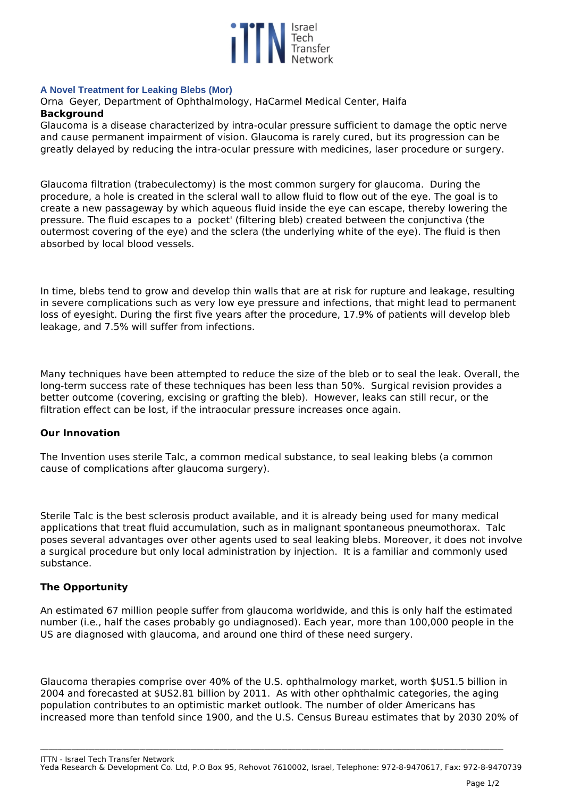

### **A Novel Treatment for Leaking Blebs (Mor)**

*Orna Geyer, Department of Ophthalmology, HaCarmel Medical Center, Haifa* **Background**

*Glaucoma is a disease characterized by intra-ocular pressure sufficient to damage the optic nerve and cause permanent impairment of vision. Glaucoma is rarely cured, but its progression can be greatly delayed by reducing the intra-ocular pressure with medicines, laser procedure or surgery.*

*Glaucoma filtration (trabeculectomy) is the most common surgery for glaucoma. During the procedure, a hole is created in the scleral wall to allow fluid to flow out of the eye. The goal is to create a new passageway by which aqueous fluid inside the eye can escape, thereby lowering the pressure. The fluid escapes to a pocket' (filtering bleb) created between the conjunctiva (the outermost covering of the eye) and the sclera (the underlying white of the eye). The fluid is then absorbed by local blood vessels.* 

*In time, blebs tend to grow and develop thin walls that are at risk for rupture and leakage, resulting in severe complications such as very low eye pressure and infections, that might lead to permanent loss of eyesight. During the first five years after the procedure, 17.9% of patients will develop bleb leakage, and 7.5% will suffer from infections.*

*Many techniques have been attempted to reduce the size of the bleb or to seal the leak. Overall, the long-term success rate of these techniques has been less than 50%. Surgical revision provides a better outcome (covering, excising or grafting the bleb). However, leaks can still recur, or the filtration effect can be lost, if the intraocular pressure increases once again.*

### **Our Innovation**

*The Invention uses sterile Talc, a common medical substance, to seal leaking blebs (a common cause of complications after glaucoma surgery).*

*Sterile Talc is the best sclerosis product available, and it is already being used for many medical applications that treat fluid accumulation, such as in malignant spontaneous pneumothorax. Talc poses several advantages over other agents used to seal leaking blebs. Moreover, it does not involve a surgical procedure but only local administration by injection. It is a familiar and commonly used substance.*

# **The Opportunity**

*An estimated 67 million people suffer from glaucoma worldwide, and this is only half the estimated number (i.e., half the cases probably go undiagnosed). Each year, more than 100,000 people in the US are diagnosed with glaucoma, and around one third of these need surgery.*

*Glaucoma therapies comprise over 40% of the U.S. ophthalmology market, worth \$US1.5 billion in 2004 and forecasted at \$US2.81 billion by 2011. As with other ophthalmic categories, the aging population contributes to an optimistic market outlook. The number of older Americans has increased more than tenfold since 1900, and the U.S. Census Bureau estimates that by 2030 20% of*

**\_\_\_\_\_\_\_\_\_\_\_\_\_\_\_\_\_\_\_\_\_\_\_\_\_\_\_\_\_\_\_\_\_\_\_\_\_\_\_\_\_\_\_\_\_\_\_\_\_\_\_\_\_\_\_\_\_\_\_\_\_\_\_\_\_\_\_\_\_\_\_\_\_\_\_\_\_\_\_\_\_\_\_\_\_\_\_\_\_\_\_\_\_\_\_\_\_\_\_\_\_\_\_\_\_\_\_\_\_\_\_\_\_\_\_\_\_\_\_\_\_\_\_\_\_\_\_\_\_\_\_\_\_\_\_\_\_\_\_\_\_\_\_\_\_\_\_\_\_\_\_\_\_\_\_\_\_\_\_\_\_\_\_**

*ITTN - Israel Tech Transfer Network Yeda Research & Development Co. Ltd, P.O Box 95, Rehovot 7610002, Israel, Telephone: 972-8-9470617, Fax: 972-8-9470739*